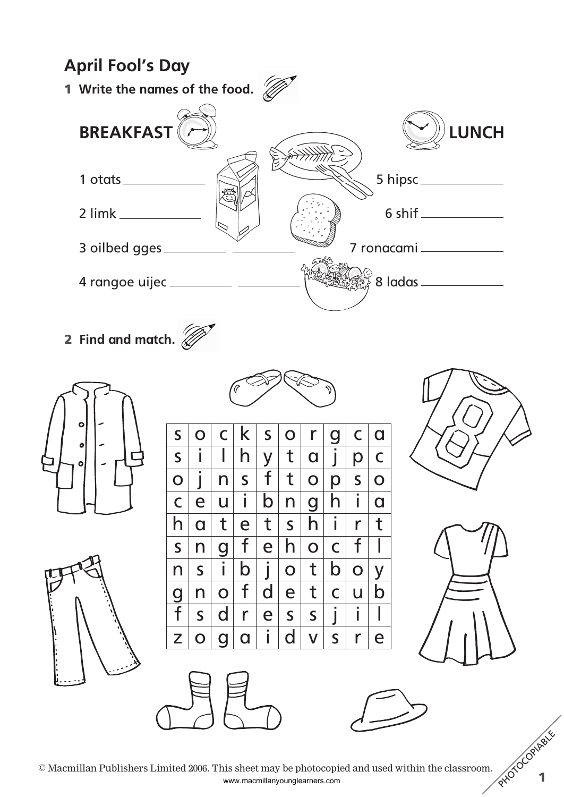## **April Fool's Day**















© Macmillan Publishers Limited 2006. This sheet may be photocopied and used within the classroom. www.macmillanyounglearners.com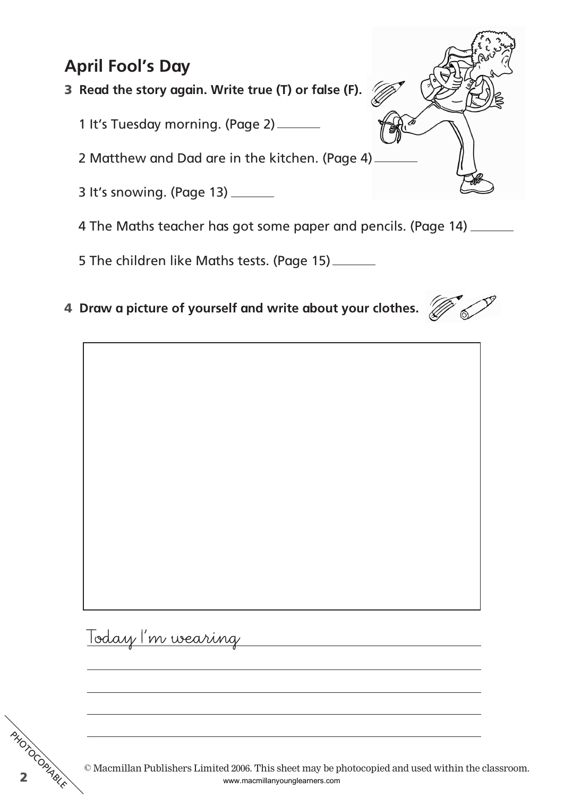## **April Fool's Day**

- 3 **Read the story again. Write true (T) or false (F).**
	- 1 It's Tuesday morning. (Page 2)
	- 2 Matthew and Dad are in the kitchen. (Page 4)
	- 3 It's snowing. (Page 13)
	- 4 The Maths teacher has got some paper and pencils. (Page 14)
	- 5 The children like Maths tests. (Page 15)
- 4 Draw a picture of yourself and write about your clothes.  $\mathcal{W}_\infty$



Today I'm wearing